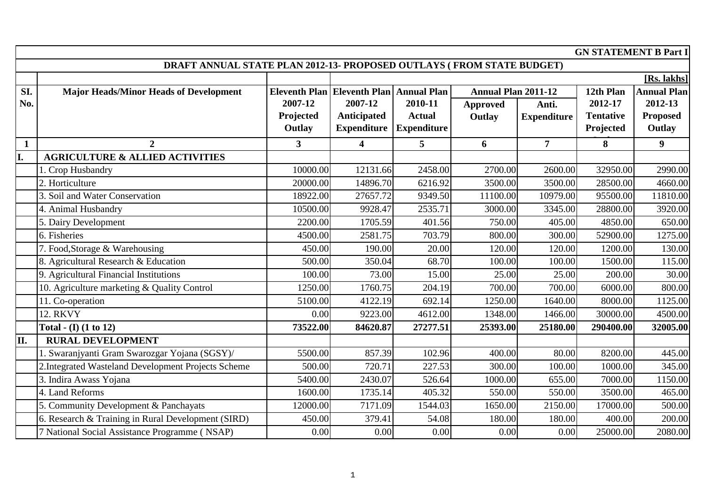|              | <b>GN STATEMENT B Part I</b>                                          |                      |                         |                    |                            |                    |                  |                    |  |  |
|--------------|-----------------------------------------------------------------------|----------------------|-------------------------|--------------------|----------------------------|--------------------|------------------|--------------------|--|--|
|              | DRAFT ANNUAL STATE PLAN 2012-13- PROPOSED OUTLAYS (FROM STATE BUDGET) |                      |                         |                    |                            |                    |                  |                    |  |  |
|              |                                                                       |                      |                         |                    |                            |                    |                  | [Rs. lakhs]        |  |  |
| SI.          | <b>Major Heads/Minor Heads of Development</b>                         | <b>Eleventh Plan</b> | <b>Eleventh Plan</b>    | <b>Annual Plan</b> | <b>Annual Plan 2011-12</b> |                    | 12th Plan        | <b>Annual Plan</b> |  |  |
| No.          |                                                                       | 2007-12              | 2007-12                 | 2010-11            | <b>Approved</b>            | Anti.              | 2012-17          | 2012-13            |  |  |
|              |                                                                       | Projected            | Anticipated             | <b>Actual</b>      | Outlay                     | <b>Expenditure</b> | <b>Tentative</b> | <b>Proposed</b>    |  |  |
|              |                                                                       | Outlay               | <b>Expenditure</b>      | <b>Expenditure</b> |                            |                    | Projected        | Outlay             |  |  |
| $\mathbf{1}$ | $\overline{2}$                                                        | $\overline{3}$       | $\overline{\mathbf{4}}$ | 5                  | 6                          | $\overline{7}$     | 8                | 9 <sup>°</sup>     |  |  |
|              | <b>AGRICULTURE &amp; ALLIED ACTIVITIES</b>                            |                      |                         |                    |                            |                    |                  |                    |  |  |
|              | 1. Crop Husbandry                                                     | 10000.00             | 12131.66                | 2458.00            | 2700.00                    | 2600.00            | 32950.00         | 2990.00            |  |  |
|              | 2. Horticulture                                                       | 20000.00             | 14896.70                | 6216.92            | 3500.00                    | 3500.00            | 28500.00         | 4660.00            |  |  |
|              | 3. Soil and Water Conservation                                        | 18922.00             | 27657.72                | 9349.50            | 11100.00                   | 10979.00           | 95500.00         | 11810.00           |  |  |
|              | 4. Animal Husbandry                                                   | 10500.00             | 9928.47                 | 2535.71            | 3000.00                    | 3345.00            | 28800.00         | 3920.00            |  |  |
|              | 5. Dairy Development                                                  | 2200.00              | 1705.59                 | 401.56             | 750.00                     | 405.00             | 4850.00          | 650.00             |  |  |
|              | 6. Fisheries                                                          | 4500.00              | 2581.75                 | 703.79             | 800.00                     | 300.00             | 52900.00         | 1275.00            |  |  |
|              | 7. Food, Storage & Warehousing                                        | 450.00               | 190.00                  | 20.00              | 120.00                     | 120.00             | 1200.00          | 130.00             |  |  |
|              | 8. Agricultural Research & Education                                  | 500.00               | 350.04                  | 68.70              | 100.00                     | 100.00             | 1500.00          | 115.00             |  |  |
|              | 9. Agricultural Financial Institutions                                | 100.00               | 73.00                   | 15.00              | 25.00                      | 25.00              | 200.00           | 30.00              |  |  |
|              | 10. Agriculture marketing & Quality Control                           | 1250.00              | 1760.75                 | 204.19             | 700.00                     | 700.00             | 6000.00          | 800.00             |  |  |
|              | 11. Co-operation                                                      | 5100.00              | 4122.19                 | 692.14             | 1250.00                    | 1640.00            | 8000.00          | 1125.00            |  |  |
|              | <b>12. RKVY</b>                                                       | 0.00                 | 9223.00                 | 4612.00            | 1348.00                    | 1466.00            | 30000.00         | 4500.00            |  |  |
|              | Total - $(I)$ $(1 to 12)$                                             | 73522.00             | 84620.87                | 27277.51           | 25393.00                   | 25180.00           | 290400.00        | 32005.00           |  |  |
| П.           | <b>RURAL DEVELOPMENT</b>                                              |                      |                         |                    |                            |                    |                  |                    |  |  |
|              | 1. Swaranjyanti Gram Swarozgar Yojana (SGSY)/                         | 5500.00              | 857.39                  | 102.96             | 400.00                     | 80.00              | 8200.00          | 445.00             |  |  |
|              | 2. Integrated Wasteland Development Projects Scheme                   | 500.00               | 720.71                  | 227.53             | 300.00                     | 100.00             | 1000.00          | 345.00             |  |  |
|              | 3. Indira Awass Yojana                                                | 5400.00              | 2430.07                 | 526.64             | 1000.00                    | 655.00             | 7000.00          | 1150.00            |  |  |
|              | 4. Land Reforms                                                       | 1600.00              | 1735.14                 | 405.32             | 550.00                     | 550.00             | 3500.00          | 465.00             |  |  |
|              | 5. Community Development & Panchayats                                 | 12000.00             | 7171.09                 | 1544.03            | 1650.00                    | 2150.00            | 17000.00         | 500.00             |  |  |
|              | 6. Research & Training in Rural Development (SIRD)                    | 450.00               | 379.41                  | 54.08              | 180.00                     | 180.00             | 400.00           | 200.00             |  |  |
|              | 7 National Social Assistance Programme (NSAP)                         | 0.00                 | 0.00                    | 0.00               | 0.00                       | 0.00               | 25000.00         | 2080.00            |  |  |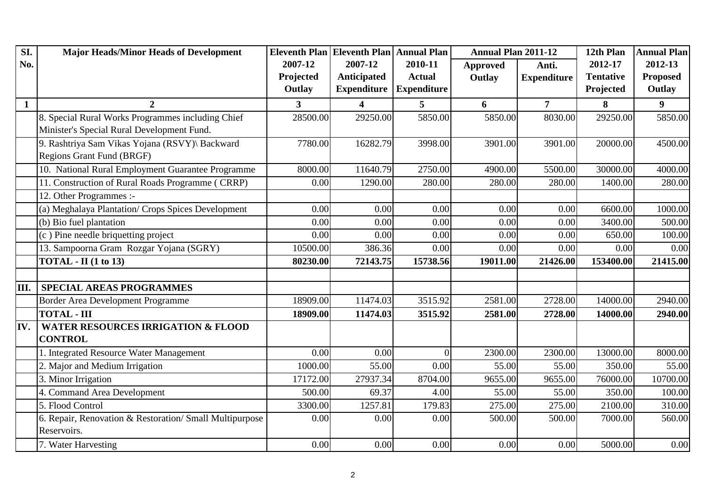| SI.          | <b>Major Heads/Minor Heads of Development</b>           |                | Eleventh Plan Eleventh Plan Annual Plan |                    | <b>Annual Plan 2011-12</b> |                    | 12th Plan        | <b>Annual Plan</b> |
|--------------|---------------------------------------------------------|----------------|-----------------------------------------|--------------------|----------------------------|--------------------|------------------|--------------------|
| No.          |                                                         | 2007-12        | 2007-12                                 | 2010-11            | <b>Approved</b>            | Anti.              | 2012-17          | 2012-13            |
|              |                                                         | Projected      | Anticipated                             | <b>Actual</b>      | Outlay                     | <b>Expenditure</b> | <b>Tentative</b> | <b>Proposed</b>    |
|              |                                                         | Outlay         | <b>Expenditure</b>                      | <b>Expenditure</b> |                            |                    | Projected        | Outlay             |
| $\mathbf{1}$ | $\overline{2}$                                          | $\overline{3}$ | $\overline{\mathbf{4}}$                 | 5                  | 6                          | $\overline{7}$     | 8                | $\boldsymbol{9}$   |
|              | 8. Special Rural Works Programmes including Chief       | 28500.00       | 29250.00                                | 5850.00            | 5850.00                    | 8030.00            | 29250.00         | 5850.00            |
|              | Minister's Special Rural Development Fund.              |                |                                         |                    |                            |                    |                  |                    |
|              | 9. Rashtriya Sam Vikas Yojana (RSVY)\ Backward          | 7780.00        | 16282.79                                | 3998.00            | 3901.00                    | 3901.00            | 20000.00         | 4500.00            |
|              | <b>Regions Grant Fund (BRGF)</b>                        |                |                                         |                    |                            |                    |                  |                    |
|              | 10. National Rural Employment Guarantee Programme       | 8000.00        | 11640.79                                | 2750.00            | 4900.00                    | 5500.00            | 30000.00         | 4000.00            |
|              | 11. Construction of Rural Roads Programme (CRRP)        | 0.00           | 1290.00                                 | 280.00             | 280.00                     | 280.00             | 1400.00          | 280.00             |
|              | 12. Other Programmes :-                                 |                |                                         |                    |                            |                    |                  |                    |
|              | (a) Meghalaya Plantation/ Crops Spices Development      | 0.00           | 0.00                                    | 0.00               | 0.00                       | 0.00               | 6600.00          | 1000.00            |
|              | (b) Bio fuel plantation                                 | 0.00           | 0.00                                    | 0.00               | 0.00                       | 0.00               | 3400.00          | 500.00             |
|              | (c) Pine needle briquetting project                     | 0.00           | 0.00                                    | 0.00               | 0.00                       | 0.00               | 650.00           | 100.00             |
|              | 13. Sampoorna Gram Rozgar Yojana (SGRY)                 | 10500.00       | 386.36                                  | 0.00               | 0.00                       | 0.00               | 0.00             | 0.00               |
|              | $TOTAL - II (1 to 13)$                                  | 80230.00       | 72143.75                                | 15738.56           | 19011.00                   | 21426.00           | 153400.00        | 21415.00           |
|              |                                                         |                |                                         |                    |                            |                    |                  |                    |
| III.         | <b>SPECIAL AREAS PROGRAMMES</b>                         |                |                                         |                    |                            |                    |                  |                    |
|              | Border Area Development Programme                       | 18909.00       | 11474.03                                | 3515.92            | 2581.00                    | 2728.00            | 14000.00         | 2940.00            |
|              | <b>TOTAL - III</b>                                      | 18909.00       | 11474.03                                | 3515.92            | 2581.00                    | 2728.00            | 14000.00         | 2940.00            |
| IV.          | <b>WATER RESOURCES IRRIGATION &amp; FLOOD</b>           |                |                                         |                    |                            |                    |                  |                    |
|              | <b>CONTROL</b>                                          |                |                                         |                    |                            |                    |                  |                    |
|              | 1. Integrated Resource Water Management                 | 0.00           | 0.00                                    | $\Omega$           | 2300.00                    | 2300.00            | 13000.00         | 8000.00            |
|              | 2. Major and Medium Irrigation                          | 1000.00        | 55.00                                   | 0.00               | 55.00                      | 55.00              | 350.00           | 55.00              |
|              | 3. Minor Irrigation                                     | 17172.00       | 27937.34                                | 8704.00            | 9655.00                    | 9655.00            | 76000.00         | 10700.00           |
|              | 4. Command Area Development                             | 500.00         | 69.37                                   | 4.00               | 55.00                      | 55.00              | 350.00           | 100.00             |
|              | 5. Flood Control                                        | 3300.00        | 1257.81                                 | 179.83             | 275.00                     | 275.00             | 2100.00          | 310.00             |
|              | 6. Repair, Renovation & Restoration/ Small Multipurpose | 0.00           | 0.00                                    | 0.00               | 500.00                     | 500.00             | 7000.00          | 560.00             |
|              | Reservoirs.                                             |                |                                         |                    |                            |                    |                  |                    |
|              | 7. Water Harvesting                                     | 0.00           | 0.00                                    | 0.00               | 0.00                       | 0.00               | 5000.00          | 0.00               |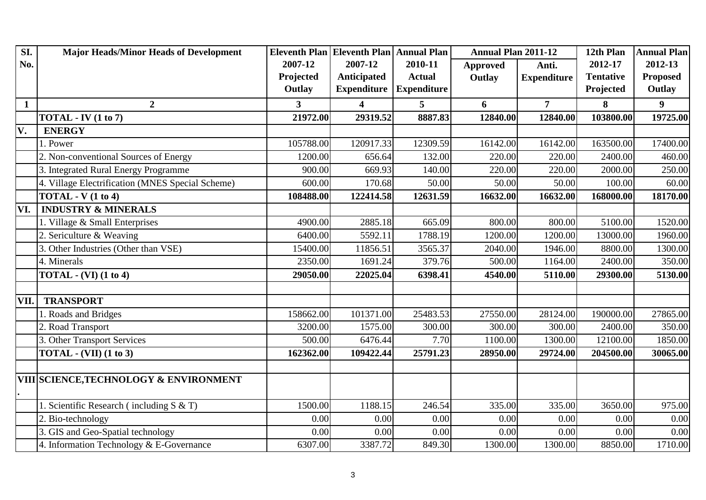| SI.          | <b>Major Heads/Minor Heads of Development</b>     |                         | Eleventh Plan Eleventh Plan   Annual Plan |                    | <b>Annual Plan 2011-12</b> |                    | 12th Plan        | <b>Annual Plan</b> |
|--------------|---------------------------------------------------|-------------------------|-------------------------------------------|--------------------|----------------------------|--------------------|------------------|--------------------|
| No.          |                                                   | 2007-12                 | 2007-12                                   | 2010-11            | <b>Approved</b>            | Anti.              | 2012-17          | 2012-13            |
|              |                                                   | Projected               | Anticipated                               | <b>Actual</b>      | Outlay                     | <b>Expenditure</b> | <b>Tentative</b> | <b>Proposed</b>    |
|              |                                                   | Outlay                  | <b>Expenditure</b>                        | <b>Expenditure</b> |                            |                    | Projected        | Outlay             |
| $\mathbf{1}$ | $\overline{2}$                                    | $\overline{\mathbf{3}}$ | $\overline{\mathbf{4}}$                   | 5                  | 6                          | $\overline{7}$     | 8                | $\boldsymbol{9}$   |
|              | TOTAL - IV $(1 to 7)$                             | 21972.00                | 29319.52                                  | 8887.83            | 12840.00                   | 12840.00           | 103800.00        | 19725.00           |
| V.           | <b>ENERGY</b>                                     |                         |                                           |                    |                            |                    |                  |                    |
|              | 1. Power                                          | 105788.00               | 120917.33                                 | 12309.59           | 16142.00                   | 16142.00           | 163500.00        | 17400.00           |
|              | 2. Non-conventional Sources of Energy             | 1200.00                 | 656.64                                    | 132.00             | 220.00                     | 220.00             | 2400.00          | 460.00             |
|              | 3. Integrated Rural Energy Programme              | 900.00                  | 669.93                                    | 140.00             | 220.00                     | 220.00             | 2000.00          | 250.00             |
|              | 4. Village Electrification (MNES Special Scheme)  | 600.00                  | 170.68                                    | 50.00              | 50.00                      | 50.00              | 100.00           | 60.00              |
|              | $TOTAL - V (1 to 4)$                              | 108488.00               | 122414.58                                 | 12631.59           | 16632.00                   | 16632.00           | 168000.00        | 18170.00           |
| VI.          | <b>INDUSTRY &amp; MINERALS</b>                    |                         |                                           |                    |                            |                    |                  |                    |
|              | 1. Village & Small Enterprises                    | 4900.00                 | 2885.18                                   | 665.09             | 800.00                     | 800.00             | 5100.00          | 1520.00            |
|              | 2. Sericulture & Weaving                          | 6400.00                 | 5592.11                                   | 1788.19            | 1200.00                    | 1200.00            | 13000.00         | 1960.00            |
|              | 3. Other Industries (Other than VSE)              | 15400.00                | 11856.51                                  | 3565.37            | 2040.00                    | 1946.00            | 8800.00          | 1300.00            |
|              | 4. Minerals                                       | 2350.00                 | 1691.24                                   | 379.76             | 500.00                     | 1164.00            | 2400.00          | 350.00             |
|              | TOTAL $-$ (VI) (1 to 4)                           | 29050.00                | 22025.04                                  | 6398.41            | 4540.00                    | 5110.00            | 29300.00         | 5130.00            |
|              |                                                   |                         |                                           |                    |                            |                    |                  |                    |
| VII.         | <b>TRANSPORT</b>                                  |                         |                                           |                    |                            |                    |                  |                    |
|              | 1. Roads and Bridges                              | 158662.00               | 101371.00                                 | 25483.53           | 27550.00                   | 28124.00           | 190000.00        | 27865.00           |
|              | 2. Road Transport                                 | 3200.00                 | 1575.00                                   | 300.00             | 300.00                     | 300.00             | 2400.00          | 350.00             |
|              | 3. Other Transport Services                       | 500.00                  | 6476.44                                   | 7.70               | 1100.00                    | 1300.00            | 12100.00         | 1850.00            |
|              | <b>TOTAL - (VII) (1 to 3)</b>                     | 162362.00               | 109422.44                                 | 25791.23           | 28950.00                   | 29724.00           | 204500.00        | 30065.00           |
|              |                                                   |                         |                                           |                    |                            |                    |                  |                    |
|              | <b>VIII SCIENCE, TECHNOLOGY &amp; ENVIRONMENT</b> |                         |                                           |                    |                            |                    |                  |                    |
|              | 1. Scientific Research (including $S & T$ )       | 1500.00                 | 1188.15                                   | 246.54             | 335.00                     | 335.00             | 3650.00          | 975.00             |
|              | 2. Bio-technology                                 | 0.00                    | 0.00                                      | 0.00               | 0.00                       | 0.00               | 0.00             | 0.00               |
|              | 3. GIS and Geo-Spatial technology                 | 0.00                    | 0.00                                      | 0.00               | 0.00                       | 0.00               | 0.00             | 0.00               |
|              | 4. Information Technology & E-Governance          | 6307.00                 | 3387.72                                   | 849.30             | 1300.00                    | 1300.00            | 8850.00          | 1710.00            |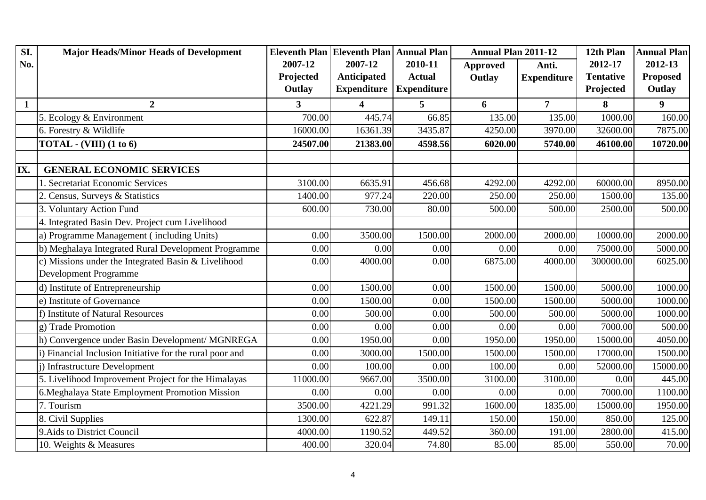| SI.          | <b>Major Heads/Minor Heads of Development</b>            |                | Eleventh Plan Eleventh Plan   Annual Plan |                    | <b>Annual Plan 2011-12</b> |                    | 12th Plan        | <b>Annual Plan</b> |
|--------------|----------------------------------------------------------|----------------|-------------------------------------------|--------------------|----------------------------|--------------------|------------------|--------------------|
| No.          |                                                          | 2007-12        | 2007-12                                   | 2010-11            | <b>Approved</b>            | Anti.              | 2012-17          | 2012-13            |
|              |                                                          | Projected      | Anticipated                               | <b>Actual</b>      | Outlay                     | <b>Expenditure</b> | <b>Tentative</b> | <b>Proposed</b>    |
|              |                                                          | Outlay         | <b>Expenditure</b>                        | <b>Expenditure</b> |                            |                    | Projected        | Outlay             |
| $\mathbf{1}$ | $\overline{2}$                                           | 3 <sup>1</sup> | $\overline{\mathbf{4}}$                   | 5                  | 6                          | $\overline{7}$     | 8                | 9                  |
|              | 5. Ecology & Environment                                 | 700.00         | 445.74                                    | 66.85              | 135.00                     | 135.00             | 1000.00          | 160.00             |
|              | 6. Forestry & Wildlife                                   | 16000.00       | 16361.39                                  | 3435.87            | 4250.00                    | 3970.00            | 32600.00         | 7875.00            |
|              | TOTAL - $(VIII)$ (1 to 6)                                | 24507.00       | 21383.00                                  | 4598.56            | 6020.00                    | 5740.00            | 46100.00         | 10720.00           |
|              |                                                          |                |                                           |                    |                            |                    |                  |                    |
| IX.          | <b>GENERAL ECONOMIC SERVICES</b>                         |                |                                           |                    |                            |                    |                  |                    |
|              | 1. Secretariat Economic Services                         | 3100.00        | 6635.91                                   | 456.68             | 4292.00                    | 4292.00            | 60000.00         | 8950.00            |
|              | 2. Census, Surveys & Statistics                          | 1400.00        | 977.24                                    | 220.00             | 250.00                     | 250.00             | 1500.00          | 135.00             |
|              | 3. Voluntary Action Fund                                 | 600.00         | 730.00                                    | 80.00              | 500.00                     | 500.00             | 2500.00          | 500.00             |
|              | 4. Integrated Basin Dev. Project cum Livelihood          |                |                                           |                    |                            |                    |                  |                    |
|              | a) Programme Management (including Units)                | 0.00           | 3500.00                                   | 1500.00            | 2000.00                    | 2000.00            | 10000.00         | 2000.00            |
|              | b) Meghalaya Integrated Rural Development Programme      | 0.00           | 0.00                                      | 0.00               | 0.00                       | 0.00               | 75000.00         | 5000.00            |
|              | c) Missions under the Integrated Basin & Livelihood      | 0.00           | 4000.00                                   | 0.00               | 6875.00                    | 4000.00            | 300000.00        | 6025.00            |
|              | Development Programme                                    |                |                                           |                    |                            |                    |                  |                    |
|              | d) Institute of Entrepreneurship                         | 0.00           | 1500.00                                   | 0.00               | 1500.00                    | 1500.00            | 5000.00          | 1000.00            |
|              | e) Institute of Governance                               | 0.00           | 1500.00                                   | 0.00               | 1500.00                    | 1500.00            | 5000.00          | 1000.00            |
|              | f) Institute of Natural Resources                        | 0.00           | 500.00                                    | 0.00               | 500.00                     | 500.00             | 5000.00          | 1000.00            |
|              | g) Trade Promotion                                       | 0.00           | 0.00                                      | 0.00               | 0.00                       | 0.00               | 7000.00          | 500.00             |
|              | h) Convergence under Basin Development/ MGNREGA          | 0.00           | 1950.00                                   | 0.00               | 1950.00                    | 1950.00            | 15000.00         | 4050.00            |
|              | () Financial Inclusion Initiative for the rural poor and | 0.00           | 3000.00                                   | 1500.00            | 1500.00                    | 1500.00            | 17000.00         | 1500.00            |
|              | i) Infrastructure Development                            | 0.00           | 100.00                                    | 0.00               | 100.00                     | 0.00               | 52000.00         | 15000.00           |
|              | 5. Livelihood Improvement Project for the Himalayas      | 11000.00       | 9667.00                                   | 3500.00            | 3100.00                    | 3100.00            | 0.00             | 445.00             |
|              | 6. Meghalaya State Employment Promotion Mission          | 0.00           | 0.00                                      | 0.00               | 0.00                       | 0.00               | 7000.00          | 1100.00            |
|              | 7. Tourism                                               | 3500.00        | 4221.29                                   | 991.32             | 1600.00                    | 1835.00            | 15000.00         | 1950.00            |
|              | 8. Civil Supplies                                        | 1300.00        | 622.87                                    | 149.11             | 150.00                     | 150.00             | 850.00           | 125.00             |
|              | 9. Aids to District Council                              | 4000.00        | 1190.52                                   | 449.52             | 360.00                     | 191.00             | 2800.00          | 415.00             |
|              | 10. Weights & Measures                                   | 400.00         | 320.04                                    | 74.80              | 85.00                      | 85.00              | 550.00           | 70.00              |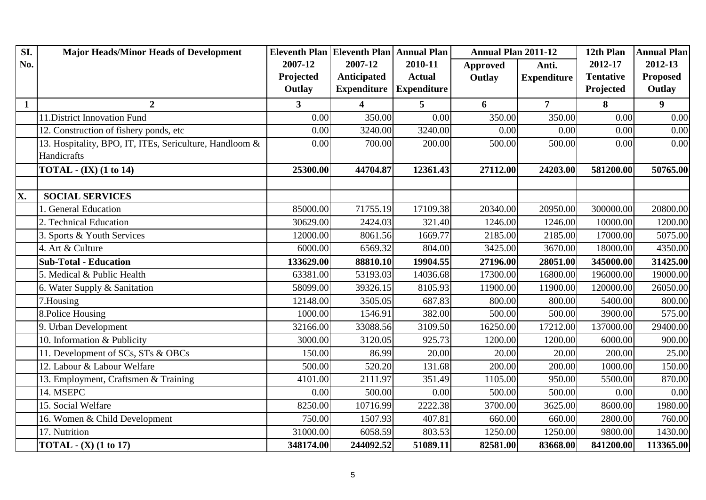| SI.          | <b>Major Heads/Minor Heads of Development</b>           |                | Eleventh Plan Eleventh Plan Annual Plan |                    | <b>Annual Plan 2011-12</b> |                    | 12th Plan        | <b>Annual Plan</b> |
|--------------|---------------------------------------------------------|----------------|-----------------------------------------|--------------------|----------------------------|--------------------|------------------|--------------------|
| No.          |                                                         | 2007-12        | 2007-12                                 | 2010-11            | <b>Approved</b>            | Anti.              | 2012-17          | 2012-13            |
|              |                                                         | Projected      | Anticipated                             | <b>Actual</b>      | Outlay                     | <b>Expenditure</b> | <b>Tentative</b> | <b>Proposed</b>    |
|              |                                                         | Outlay         | <b>Expenditure</b>                      | <b>Expenditure</b> |                            |                    | Projected        | Outlay             |
| $\mathbf{1}$ | $\overline{2}$                                          | 3 <sup>1</sup> | $\overline{\mathbf{4}}$                 | 5 <sup>5</sup>     | 6                          | $\overline{7}$     | 8                | $\boldsymbol{9}$   |
|              | 11. District Innovation Fund                            | 0.00           | 350.00                                  | 0.00               | 350.00                     | 350.00             | 0.00             | 0.00               |
|              | 12. Construction of fishery ponds, etc                  | 0.00           | 3240.00                                 | 3240.00            | 0.00                       | 0.00               | 0.00             | 0.00               |
|              | 13. Hospitality, BPO, IT, ITEs, Sericulture, Handloom & | 0.00           | 700.00                                  | 200.00             | 500.00                     | 500.00             | 0.00             | 0.00               |
|              | Handicrafts                                             |                |                                         |                    |                            |                    |                  |                    |
|              | <b>TOTAL</b> - (IX) (1 to 14)                           | 25300.00       | 44704.87                                | 12361.43           | 27112.00                   | 24203.00           | 581200.00        | 50765.00           |
|              |                                                         |                |                                         |                    |                            |                    |                  |                    |
| X.           | <b>SOCIAL SERVICES</b>                                  |                |                                         |                    |                            |                    |                  |                    |
|              | 1. General Education                                    | 85000.00       | 71755.19                                | 17109.38           | 20340.00                   | 20950.00           | 300000.00        | 20800.00           |
|              | 2. Technical Education                                  | 30629.00       | 2424.03                                 | 321.40             | 1246.00                    | 1246.00            | 10000.00         | 1200.00            |
|              | 3. Sports & Youth Services                              | 12000.00       | 8061.56                                 | 1669.77            | 2185.00                    | 2185.00            | 17000.00         | 5075.00            |
|              | 4. Art & Culture                                        | 6000.00        | 6569.32                                 | 804.00             | 3425.00                    | 3670.00            | 18000.00         | 4350.00            |
|              | <b>Sub-Total - Education</b>                            | 133629.00      | 88810.10                                | 19904.55           | 27196.00                   | 28051.00           | 345000.00        | 31425.00           |
|              | 5. Medical & Public Health                              | 63381.00       | 53193.03                                | 14036.68           | 17300.00                   | 16800.00           | 196000.00        | 19000.00           |
|              | 6. Water Supply & Sanitation                            | 58099.00       | 39326.15                                | 8105.93            | 11900.00                   | 11900.00           | 120000.00        | 26050.00           |
|              | 7.Housing                                               | 12148.00       | 3505.05                                 | 687.83             | 800.00                     | 800.00             | 5400.00          | 800.00             |
|              | 8. Police Housing                                       | 1000.00        | 1546.91                                 | 382.00             | 500.00                     | 500.00             | 3900.00          | 575.00             |
|              | 9. Urban Development                                    | 32166.00       | 33088.56                                | 3109.50            | 16250.00                   | 17212.00           | 137000.00        | 29400.00           |
|              | 10. Information & Publicity                             | 3000.00        | 3120.05                                 | 925.73             | 1200.00                    | 1200.00            | 6000.00          | 900.00             |
|              | 11. Development of SCs, STs & OBCs                      | 150.00         | 86.99                                   | 20.00              | 20.00                      | 20.00              | 200.00           | 25.00              |
|              | 12. Labour & Labour Welfare                             | 500.00         | 520.20                                  | 131.68             | 200.00                     | 200.00             | 1000.00          | 150.00             |
|              | 13. Employment, Craftsmen & Training                    | 4101.00        | 2111.97                                 | 351.49             | 1105.00                    | 950.00             | 5500.00          | 870.00             |
|              | 14. MSEPC                                               | 0.00           | 500.00                                  | 0.00               | 500.00                     | 500.00             | 0.00             | 0.00               |
|              | 15. Social Welfare                                      | 8250.00        | 10716.99                                | 2222.38            | 3700.00                    | 3625.00            | 8600.00          | 1980.00            |
|              | 16. Women & Child Development                           | 750.00         | 1507.93                                 | 407.81             | 660.00                     | 660.00             | 2800.00          | 760.00             |
|              | 17. Nutrition                                           | 31000.00       | 6058.59                                 | 803.53             | 1250.00                    | 1250.00            | 9800.00          | 1430.00            |
|              | TOTAL - $(X)$ (1 to 17)                                 | 348174.00      | 244092.52                               | 51089.11           | 82581.00                   | 83668.00           | 841200.00        | 113365.00          |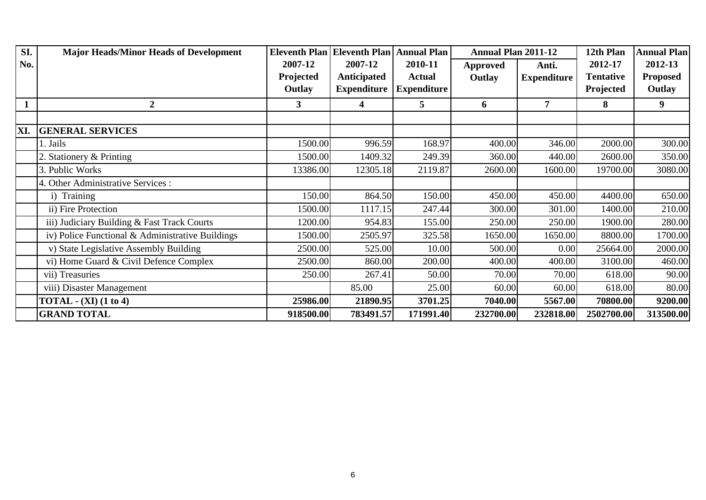| SI.          | <b>Major Heads/Minor Heads of Development</b>    |           | <b>Eleventh Plan Eleventh Plan</b> | <b>Annual Plan</b> | <b>Annual Plan 2011-12</b> |                    | 12th Plan        | <b>Annual Plan</b> |
|--------------|--------------------------------------------------|-----------|------------------------------------|--------------------|----------------------------|--------------------|------------------|--------------------|
| No.          |                                                  | 2007-12   | 2007-12                            | 2010-11            | <b>Approved</b>            | Anti.              | 2012-17          | 2012-13            |
|              |                                                  | Projected | Anticipated                        | <b>Actual</b>      | Outlay                     | <b>Expenditure</b> | <b>Tentative</b> | <b>Proposed</b>    |
|              |                                                  | Outlay    | <b>Expenditure</b>                 | <b>Expenditure</b> |                            |                    | Projected        | Outlay             |
| $\mathbf{1}$ | $\overline{2}$                                   | 3         | 4                                  | 5                  | 6                          | 7                  | 8                | 9                  |
|              |                                                  |           |                                    |                    |                            |                    |                  |                    |
| XI.          | <b>GENERAL SERVICES</b>                          |           |                                    |                    |                            |                    |                  |                    |
|              | 1. Jails                                         | 1500.00   | 996.59                             | 168.97             | 400.00                     | 346.00             | 2000.00          | 300.00             |
|              | 2. Stationery & Printing                         | 1500.00   | 1409.32                            | 249.39             | 360.00                     | 440.00             | 2600.00          | 350.00             |
|              | 3. Public Works                                  | 13386.00  | 12305.18                           | 2119.87            | 2600.00                    | 1600.00            | 19700.00         | 3080.00            |
|              | 4. Other Administrative Services :               |           |                                    |                    |                            |                    |                  |                    |
|              | i) Training                                      | 150.00    | 864.50                             | 150.00             | 450.00                     | 450.00             | 4400.00          | 650.00             |
|              | ii) Fire Protection                              | 1500.00   | 1117.15                            | 247.44             | 300.00                     | 301.00             | 1400.00          | 210.00             |
|              | iii) Judiciary Building & Fast Track Courts      | 1200.00   | 954.83                             | 155.00             | 250.00                     | 250.00             | 1900.00          | 280.00             |
|              | iv) Police Functional & Administrative Buildings | 1500.00   | 2505.97                            | 325.58             | 1650.00                    | 1650.00            | 8800.00          | 1700.00            |
|              | v) State Legislative Assembly Building           | 2500.00   | 525.00                             | 10.00              | 500.00                     | 0.00               | 25664.00         | 2000.00            |
|              | vi) Home Guard & Civil Defence Complex           | 2500.00   | 860.00                             | 200.00             | 400.00                     | 400.00             | 3100.00          | 460.00             |
|              | vii) Treasuries                                  | 250.00    | 267.41                             | 50.00              | 70.00                      | 70.00              | 618.00           | 90.00              |
|              | viii) Disaster Management                        |           | 85.00                              | 25.00              | 60.00                      | 60.00              | 618.00           | 80.00              |
|              | TOTAL $-$ (XI) (1 to 4)                          | 25986.00  | 21890.95                           | 3701.25            | 7040.00                    | 5567.00            | 70800.00         | 9200.00            |
|              | <b>GRAND TOTAL</b>                               | 918500.00 | 783491.57                          | 171991.40          | 232700.00                  | 232818.00          | 2502700.00       | 313500.00          |